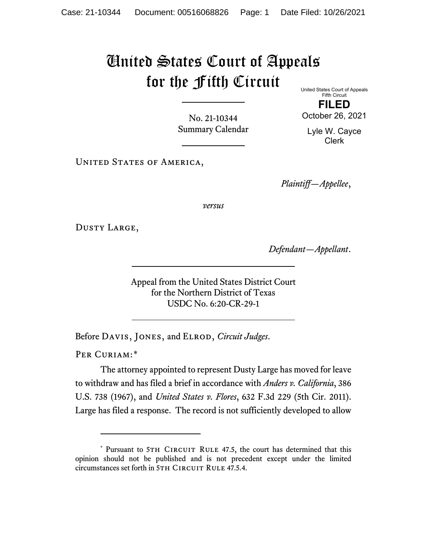## United States Court of Appeals for the Fifth Circuit United States Court of Appeals

No. 21-10344 Summary Calendar

Fifth Circuit **FILED** October 26, 2021

Lyle W. Cayce Clerk

UNITED STATES OF AMERICA,

*Plaintiff—Appellee*,

*versus*

Dusty Large,

*Defendant—Appellant*.

Appeal from the United States District Court for the Northern District of Texas USDC No. 6:20-CR-29-1

Before Davis, Jones, and Elrod, *Circuit Judges*.

PER CURIAM:[\\*](#page-0-0)

<span id="page-0-1"></span>The attorney appointed to represent Dusty Large has moved for leave to withdraw and has filed a brief in accordance with *Anders v. California*, 386 U.S. 738 (1967), and *United States v. Flores*, 632 F.3d 229 (5th Cir. 2011). Large has filed a response. The record is not sufficiently developed to allow

<span id="page-0-0"></span><sup>\*</sup> Pursuant to 5TH CIRCUIT RULE 47.5, the court has determined that this opinion should not be published and is not precedent except under the limited circumstances set forth in 5TH CIRCUIT RULE 47.5.4.